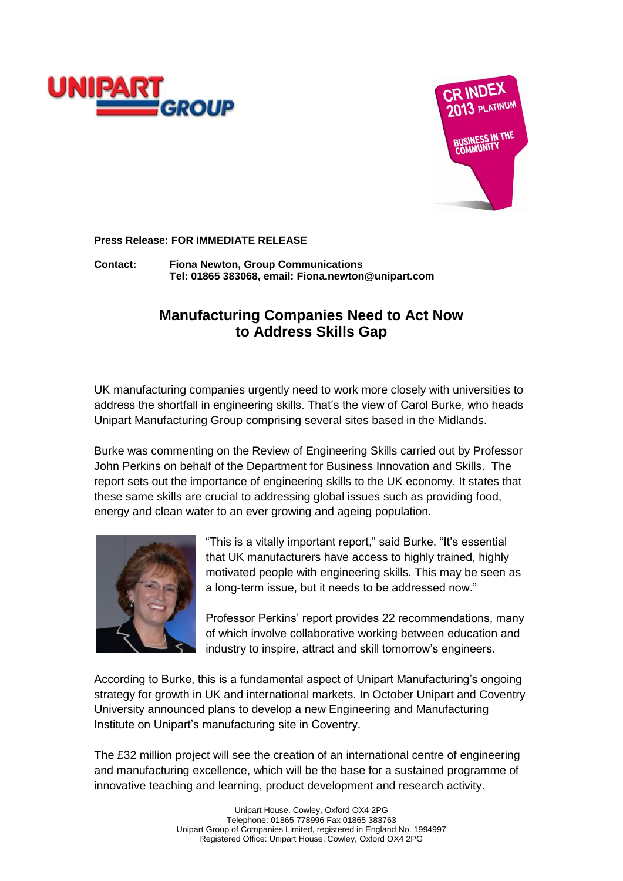



**Press Release: FOR IMMEDIATE RELEASE**

**Contact: Fiona Newton, Group Communications Tel: 01865 383068, email: Fiona.newton@unipart.com**

## **Manufacturing Companies Need to Act Now to Address Skills Gap**

UK manufacturing companies urgently need to work more closely with universities to address the shortfall in engineering skills. That's the view of Carol Burke, who heads Unipart Manufacturing Group comprising several sites based in the Midlands.

Burke was commenting on the Review of Engineering Skills carried out by Professor John Perkins on behalf of the Department for Business Innovation and Skills. The report sets out the importance of engineering skills to the UK economy. It states that these same skills are crucial to addressing global issues such as providing food, energy and clean water to an ever growing and ageing population.



"This is a vitally important report," said Burke. "It's essential that UK manufacturers have access to highly trained, highly motivated people with engineering skills. This may be seen as a long-term issue, but it needs to be addressed now."

Professor Perkins' report provides 22 recommendations, many of which involve collaborative working between education and industry to inspire, attract and skill tomorrow's engineers.

According to Burke, this is a fundamental aspect of Unipart Manufacturing's ongoing strategy for growth in UK and international markets. In October Unipart and Coventry University announced plans to develop a new Engineering and Manufacturing Institute on Unipart's manufacturing site in Coventry.

The £32 million project will see the creation of an international centre of engineering and manufacturing excellence, which will be the base for a sustained programme of innovative teaching and learning, product development and research activity.